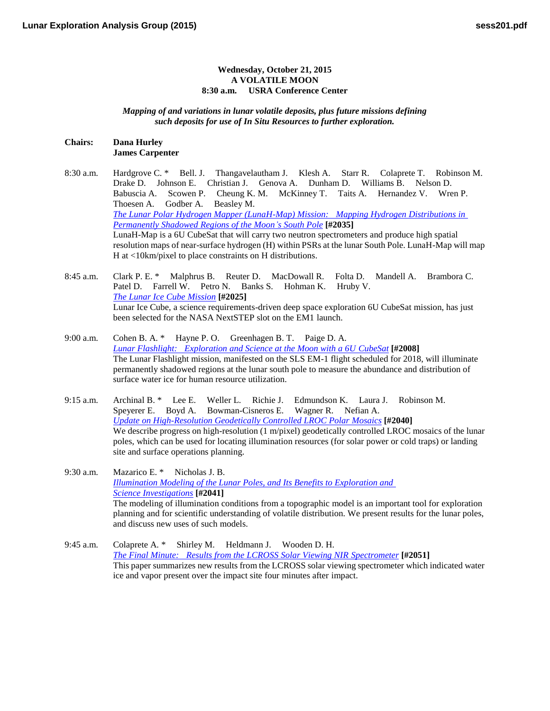## **Wednesday, October 21, 2015 A VOLATILE MOON 8:30 a.m. USRA Conference Center**

*Mapping of and variations in lunar volatile deposits, plus future missions defining such deposits for use of In Situ Resources to further exploration.*

## **Chairs: Dana Hurley James Carpenter**

- 8:30 a.m. Hardgrove C. \* Bell. J. Thangavelautham J. Klesh A. Starr R. Colaprete T. Robinson M. Drake D. Johnson E. Christian J. Genova A. Dunham D. Williams B. Nelson D. Babuscia A. Scowen P. Cheung K. M. McKinney T. Taits A. Hernandez V. Wren P. Thoesen A. Godber A. Beasley M. *[The Lunar Polar Hydrogen Mapper \(LunaH-Map\) Mission: Mapping Hydrogen Distributions in](http://www.hou.usra.edu/meetings/leag2015/pdf/2035.pdf)  [Permanently Shadowed Regions of the Moon's South](http://www.hou.usra.edu/meetings/leag2015/pdf/2035.pdf) Pole* **[#2035]** LunaH-Map is a 6U CubeSat that will carry two neutron spectrometers and produce high spatial resolution maps of near-surface hydrogen (H) within PSRs at the lunar South Pole. LunaH-Map will map H at <10km/pixel to place constraints on H distributions.
- 8:45 a.m. Clark P. E. \* Malphrus B. Reuter D. MacDowall R. Folta D. Mandell A. Brambora C. Patel D. Farrell W. Petro N. Banks S. Hohman K. Hruby V. *[The Lunar Ice Cube](http://www.hou.usra.edu/meetings/leag2015/pdf/2025.pdf) Mission* **[#2025]** Lunar Ice Cube, a science requirements-driven deep space exploration 6U CubeSat mission, has just been selected for the NASA NextSTEP slot on the EM1 launch.
- 9:00 a.m. Cohen B. A. \* Hayne P. O. Greenhagen B. T. Paige D. A. *[Lunar Flashlight: Exploration and Science at the Moon with a 6U](http://www.hou.usra.edu/meetings/leag2015/pdf/2008.pdf) CubeSat* **[#2008]** The Lunar Flashlight mission, manifested on the SLS EM-1 flight scheduled for 2018, will illuminate permanently shadowed regions at the lunar south pole to measure the abundance and distribution of surface water ice for human resource utilization.
- 9:15 a.m. Archinal B. \* Lee E. Weller L. Richie J. Edmundson K. Laura J. Robinson M. Speyerer E. Boyd A. Bowman-Cisneros E. Wagner R. Nefian A. *[Update on High-Resolution Geodetically Controlled LROC Polar](http://www.hou.usra.edu/meetings/leag2015/pdf/2040.pdf) Mosaics* **[#2040]** We describe progress on high-resolution (1 m/pixel) geodetically controlled LROC mosaics of the lunar poles, which can be used for locating illumination resources (for solar power or cold traps) or landing site and surface operations planning.
- 9:30 a.m. Mazarico E. \* Nicholas J. B. *[Illumination Modeling of the Lunar Poles, and Its Benefits to Exploration and](http://www.hou.usra.edu/meetings/leag2015/pdf/2041.pdf)  Science [Investigations](http://www.hou.usra.edu/meetings/leag2015/pdf/2041.pdf)* **[#2041]** The modeling of illumination conditions from a topographic model is an important tool for exploration planning and for scientific understanding of volatile distribution. We present results for the lunar poles, and discuss new uses of such models.
- 9:45 a.m. Colaprete A. \* Shirley M. Heldmann J. Wooden D. H. *[The Final Minute: Results from the LCROSS Solar Viewing NIR](http://www.hou.usra.edu/meetings/leag2015/pdf/2051.pdf) Spectrometer* **[#2051]** This paper summarizes new results from the LCROSS solar viewing spectrometer which indicated water ice and vapor present over the impact site four minutes after impact.